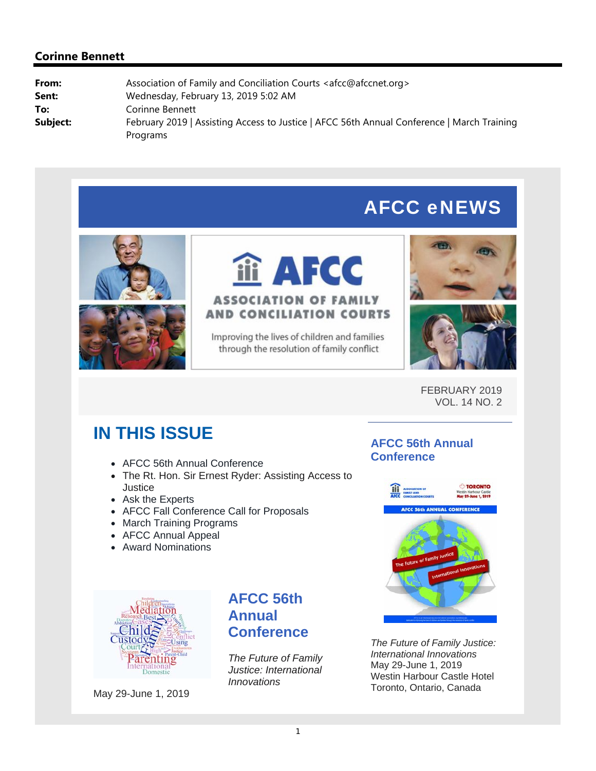# AFCC eNEWS



**iii AFCC ASSOCIATION OF FAMILY AND CONCILIATION COURTS** 

Improving the lives of children and families through the resolution of family conflict





FEBRUARY 2019 VOL. 14 NO. 2

# **IN THIS ISSUE**

- AFCC 56th Annual Conference
- The Rt. Hon. Sir Ernest Ryder: Assisting Access to Justice
- Ask the Experts
- AFCC Fall Conference Call for Proposals
- March Training Programs
- AFCC Annual Appeal
- Award Nominations

### **AFCC 56th Annual Conference**





May 29-June 1, 2019

### **AFCC 56th Annual Conference**

*The Future of Family Justice: International Innovations*

*The Future of Family Justice: International Innovations* May 29-June 1, 2019 Westin Harbour Castle Hotel Toronto, Ontario, Canada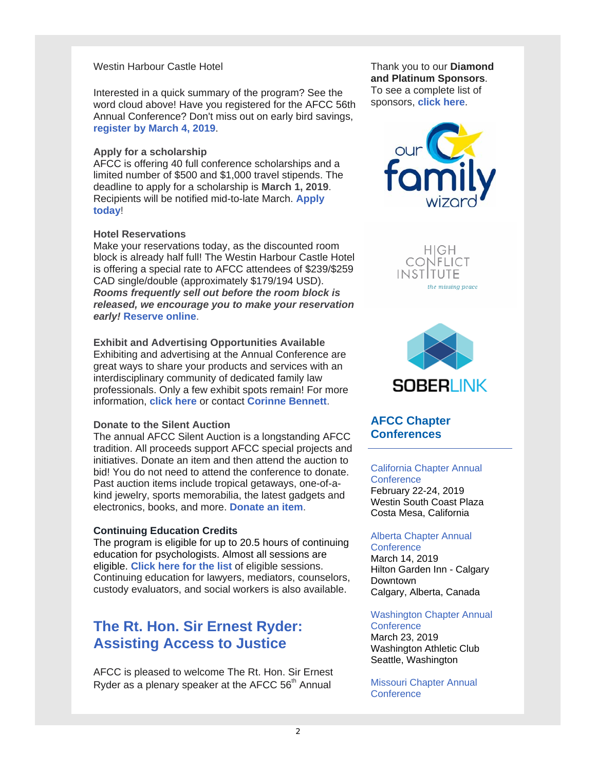### Westin Harbour Castle Hotel

Interested in a quick summary of the program? See the word cloud above! Have you registered for the AFCC 56th Annual Conference? Don't miss out on early bird savings, **register by March 4, 2019**.

#### **Apply for a scholarship**

AFCC is offering 40 full conference scholarships and a limited number of \$500 and \$1,000 travel stipends. The deadline to apply for a scholarship is **March 1, 2019**. Recipients will be notified mid-to-late March. **Apply today**!

#### **Hotel Reservations**

Make your reservations today, as the discounted room block is already half full! The Westin Harbour Castle Hotel is offering a special rate to AFCC attendees of \$239/\$259 CAD single/double (approximately \$179/194 USD). *Rooms frequently sell out before the room block is released, we encourage you to make your reservation early!* **Reserve online**.

**Exhibit and Advertising Opportunities Available** Exhibiting and advertising at the Annual Conference are great ways to share your products and services with an interdisciplinary community of dedicated family law professionals. Only a few exhibit spots remain! For more information, **click here** or contact **Corinne Bennett**.

#### **Donate to the Silent Auction**

The annual AFCC Silent Auction is a longstanding AFCC tradition. All proceeds support AFCC special projects and initiatives. Donate an item and then attend the auction to bid! You do not need to attend the conference to donate. Past auction items include tropical getaways, one-of-akind jewelry, sports memorabilia, the latest gadgets and electronics, books, and more. **Donate an item**.

#### **Continuing Education Credits**

The program is eligible for up to 20.5 hours of continuing education for psychologists. Almost all sessions are eligible. **Click here for the list** of eligible sessions. Continuing education for lawyers, mediators, counselors, custody evaluators, and social workers is also available.

### **The Rt. Hon. Sir Ernest Ryder: Assisting Access to Justice**

AFCC is pleased to welcome The Rt. Hon. Sir Ernest Ryder as a plenary speaker at the AFCC  $56<sup>th</sup>$  Annual

Thank you to our **Diamond and Platinum Sponsors**. To see a complete list of sponsors, **click here**.



HIGH **CONFLICT** instItute the missing peace



### **AFCC Chapter Conferences**

#### California Chapter Annual **Conference** February 22-24, 2019 Westin South Coast Plaza

Costa Mesa, California

#### Alberta Chapter Annual **Conference**

March 14, 2019 Hilton Garden Inn - Calgary Downtown Calgary, Alberta, Canada

Washington Chapter Annual **Conference** 

March 23, 2019 Washington Athletic Club Seattle, Washington

Missouri Chapter Annual **Conference**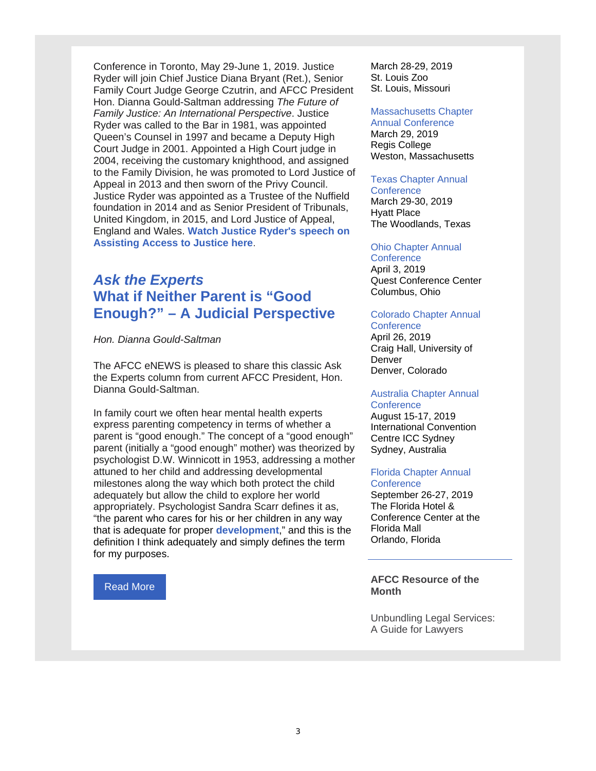Conference in Toronto, May 29-June 1, 2019. Justice Ryder will join Chief Justice Diana Bryant (Ret.), Senior Family Court Judge George Czutrin, and AFCC President Hon. Dianna Gould-Saltman addressing *The Future of Family Justice: An International Perspective*. Justice Ryder was called to the Bar in 1981, was appointed Queen's Counsel in 1997 and became a Deputy High Court Judge in 2001. Appointed a High Court judge in 2004, receiving the customary knighthood, and assigned to the Family Division, he was promoted to Lord Justice of Appeal in 2013 and then sworn of the Privy Council. Justice Ryder was appointed as a Trustee of the Nuffield foundation in 2014 and as Senior President of Tribunals, United Kingdom, in 2015, and Lord Justice of Appeal, England and Wales. **Watch Justice Ryder's speech on Assisting Access to Justice here**.

### *Ask the Experts* **What if Neither Parent is "Good Enough?" – A Judicial Perspective**

*Hon. Dianna Gould-Saltman*

The AFCC eNEWS is pleased to share this classic Ask the Experts column from current AFCC President, Hon. Dianna Gould-Saltman.

In family court we often hear mental health experts express parenting competency in terms of whether a parent is "good enough." The concept of a "good enough" parent (initially a "good enough" mother) was theorized by psychologist D.W. Winnicott in 1953, addressing a mother attuned to her child and addressing developmental milestones along the way which both protect the child adequately but allow the child to explore her world appropriately. Psychologist Sandra Scarr defines it as, "the parent who cares for his or her children in any way that is adequate for proper **development**," and this is the definition I think adequately and simply defines the term for my purposes.

#### Read More

March 28-29, 2019 St. Louis Zoo St. Louis, Missouri

#### Massachusetts Chapter

Annual Conference March 29, 2019 Regis College Weston, Massachusetts

#### Texas Chapter Annual

**Conference** March 29-30, 2019 Hyatt Place The Woodlands, Texas

#### Ohio Chapter Annual

**Conference** April 3, 2019 Quest Conference Center Columbus, Ohio

#### Colorado Chapter Annual

**Conference** April 26, 2019 Craig Hall, University of **Denver** Denver, Colorado

#### Australia Chapter Annual **Conference**

August 15-17, 2019 International Convention Centre ICC Sydney Sydney, Australia

#### Florida Chapter Annual **Conference**

September 26-27, 2019 The Florida Hotel & Conference Center at the Florida Mall Orlando, Florida

### **AFCC Resource of the Month**

Unbundling Legal Services: A Guide for Lawyers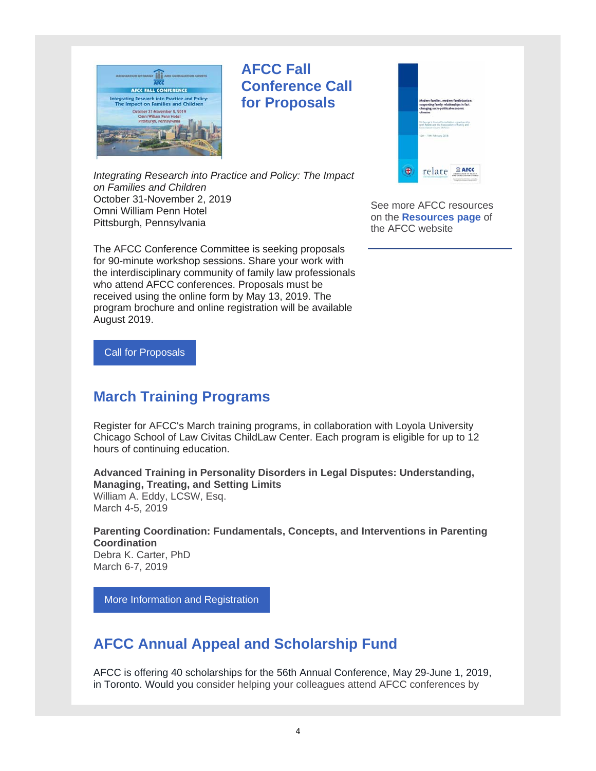

### **AFCC Fall Conference Call for Proposals**



*Integrating Research into Practice and Policy: The Impact on Families and Children* October 31-November 2, 2019 Omni William Penn Hotel Pittsburgh, Pennsylvania

The AFCC Conference Committee is seeking proposals for 90-minute workshop sessions. Share your work with the interdisciplinary community of family law professionals who attend AFCC conferences. Proposals must be received using the online form by May 13, 2019. The program brochure and online registration will be available August 2019.

See more AFCC resources on the **Resources page** of the AFCC website

Call for Proposals

# **March Training Programs**

Register for AFCC's March training programs, in collaboration with Loyola University Chicago School of Law Civitas ChildLaw Center. Each program is eligible for up to 12 hours of continuing education.

**Advanced Training in Personality Disorders in Legal Disputes: Understanding, Managing, Treating, and Setting Limits** William A. Eddy, LCSW, Esq. March 4-5, 2019

**Parenting Coordination: Fundamentals, Concepts, and Interventions in Parenting Coordination** Debra K. Carter, PhD March 6-7, 2019

More Information and Registration

# **AFCC Annual Appeal and Scholarship Fund**

AFCC is offering 40 scholarships for the 56th Annual Conference, May 29-June 1, 2019, in Toronto. Would you consider helping your colleagues attend AFCC conferences by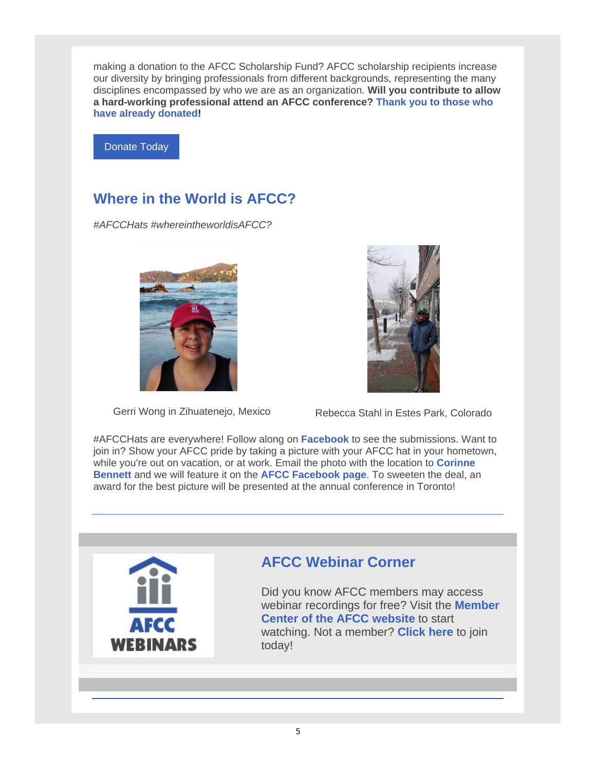making a donation to the AFCC Scholarship Fund? AFCC scholarship recipients increase our diversity by bringing professionals from different backgrounds, representing the many disciplines encompassed by who we are as an organization. **Will you contribute to allow a hard-working professional attend an AFCC conference? Thank you to those who have already donated!** 

Donate Today

# **Where in the World is AFCC?**

*#AFCCHats #whereintheworldisAFCC?*





Gerri Wong in Zihuatenejo, Mexico Rebecca Stahl in Estes Park, Colorado

#AFCCHats are everywhere! Follow along on **Facebook** to see the submissions. Want to join in? Show your AFCC pride by taking a picture with your AFCC hat in your hometown, while you're out on vacation, or at work. Email the photo with the location to **Corinne Bennett** and we will feature it on the **AFCC Facebook page**. To sweeten the deal, an award for the best picture will be presented at the annual conference in Toronto!



# **AFCC Webinar Corner**

Did you know AFCC members may access webinar recordings for free? Visit the **Member Center of the AFCC website** to start watching. Not a member? **Click here** to join today!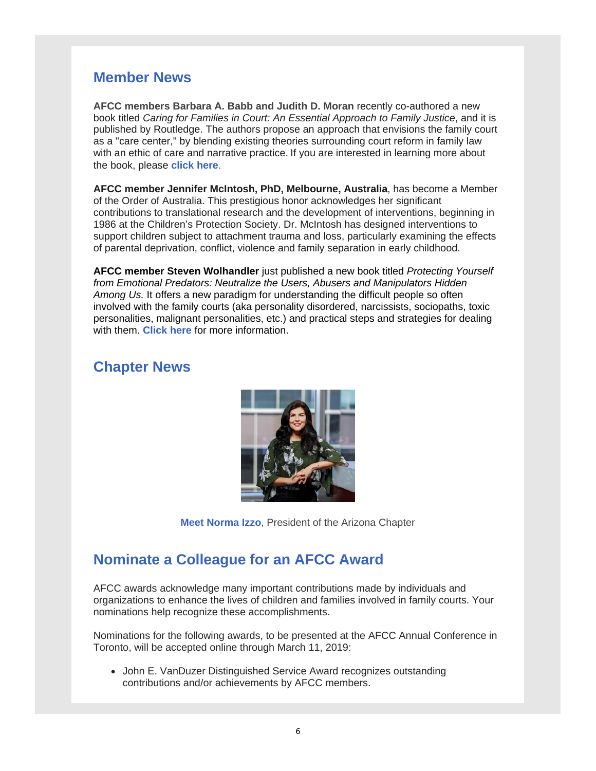### **Member News**

**AFCC members Barbara A. Babb and Judith D. Moran** recently co-authored a new book titled *Caring for Families in Court: An Essential Approach to Family Justice*, and it is published by Routledge. The authors propose an approach that envisions the family court as a "care center," by blending existing theories surrounding court reform in family law with an ethic of care and narrative practice. If you are interested in learning more about the book, please **click here**.

**AFCC member Jennifer McIntosh, PhD, Melbourne, Australia**, has become a Member of the Order of Australia. This prestigious honor acknowledges her significant contributions to translational research and the development of interventions, beginning in 1986 at the Children's Protection Society. Dr. McIntosh has designed interventions to support children subject to attachment trauma and loss, particularly examining the effects of parental deprivation, conflict, violence and family separation in early childhood.

**AFCC member Steven Wolhandler** just published a new book titled *Protecting Yourself from Emotional Predators: Neutralize the Users, Abusers and Manipulators Hidden Among Us.* It offers a new paradigm for understanding the difficult people so often involved with the family courts (aka personality disordered, narcissists, sociopaths, toxic personalities, malignant personalities, etc.) and practical steps and strategies for dealing with them. **Click here** for more information.

### **Chapter News**



**Meet Norma Izzo**, President of the Arizona Chapter

### **Nominate a Colleague for an AFCC Award**

AFCC awards acknowledge many important contributions made by individuals and organizations to enhance the lives of children and families involved in family courts. Your nominations help recognize these accomplishments.

Nominations for the following awards, to be presented at the AFCC Annual Conference in Toronto, will be accepted online through March 11, 2019:

• John E. VanDuzer Distinguished Service Award recognizes outstanding contributions and/or achievements by AFCC members.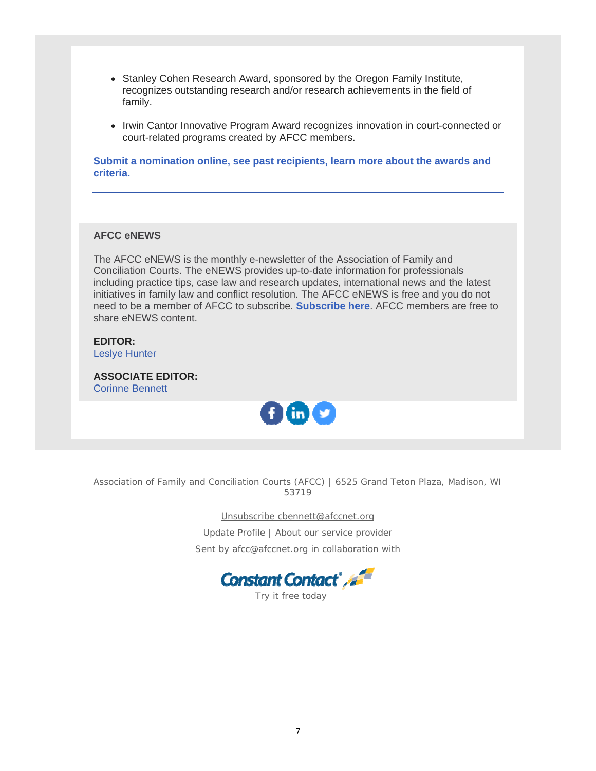- Stanley Cohen Research Award, sponsored by the Oregon Family Institute, recognizes outstanding research and/or research achievements in the field of family.
- Irwin Cantor Innovative Program Award recognizes innovation in court-connected or court-related programs created by AFCC members.

**Submit a nomination online, see past recipients, learn more about the awards and criteria.**

### **AFCC eNEWS**

The AFCC eNEWS is the monthly e-newsletter of the Association of Family and Conciliation Courts. The eNEWS provides up-to-date information for professionals including practice tips, case law and research updates, international news and the latest initiatives in family law and conflict resolution. The AFCC eNEWS is free and you do not need to be a member of AFCC to subscribe. **Subscribe here**. AFCC members are free to share eNEWS content.

**EDITOR:** Leslye Hunter

**ASSOCIATE EDITOR:** Corinne Bennett



Association of Family and Conciliation Courts (AFCC) | 6525 Grand Teton Plaza, Madison, WI 53719

Unsubscribe cbennett@afccnet.org

Update Profile | About our service provider

Sent by afcc@afccnet.org in collaboration with



Try it free today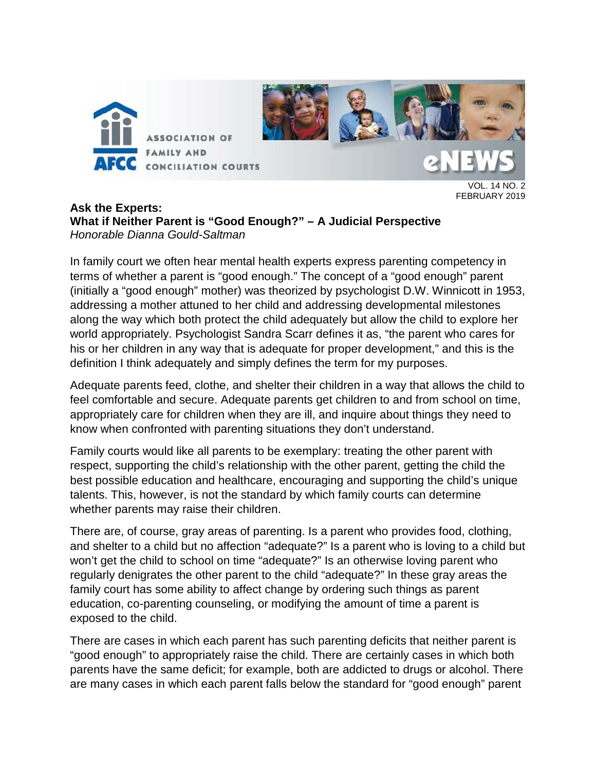

VOL. 14 NO. 2 FEBRUARY 2019

### **Ask the Experts: What if Neither Parent is "Good Enough?" – A Judicial Perspective** *Honorable Dianna Gould-Saltman*

In family court we often hear mental health experts express parenting competency in terms of whether a parent is "good enough." The concept of a "good enough" parent (initially a "good enough" mother) was theorized by psychologist D.W. Winnicott in 1953, addressing a mother attuned to her child and addressing developmental milestones along the way which both protect the child adequately but allow the child to explore her world appropriately. Psychologist Sandra Scarr defines it as, "the parent who cares for his or her children in any way that is adequate for proper [development,](http://psychologydictionary.org/development/)" and this is the definition I think adequately and simply defines the term for my purposes.

Adequate parents feed, clothe, and shelter their children in a way that allows the child to feel comfortable and secure. Adequate parents get children to and from school on time, appropriately care for children when they are ill, and inquire about things they need to know when confronted with parenting situations they don't understand.

Family courts would like all parents to be exemplary: treating the other parent with respect, supporting the child's relationship with the other parent, getting the child the best possible education and healthcare, encouraging and supporting the child's unique talents. This, however, is not the standard by which family courts can determine whether parents may raise their children.

There are, of course, gray areas of parenting. Is a parent who provides food, clothing, and shelter to a child but no affection "adequate?" Is a parent who is loving to a child but won't get the child to school on time "adequate?" Is an otherwise loving parent who regularly denigrates the other parent to the child "adequate?" In these gray areas the family court has some ability to affect change by ordering such things as parent education, co-parenting counseling, or modifying the amount of time a parent is exposed to the child.

There are cases in which each parent has such parenting deficits that neither parent is "good enough" to appropriately raise the child. There are certainly cases in which both parents have the same deficit; for example, both are addicted to drugs or alcohol. There are many cases in which each parent falls below the standard for "good enough" parent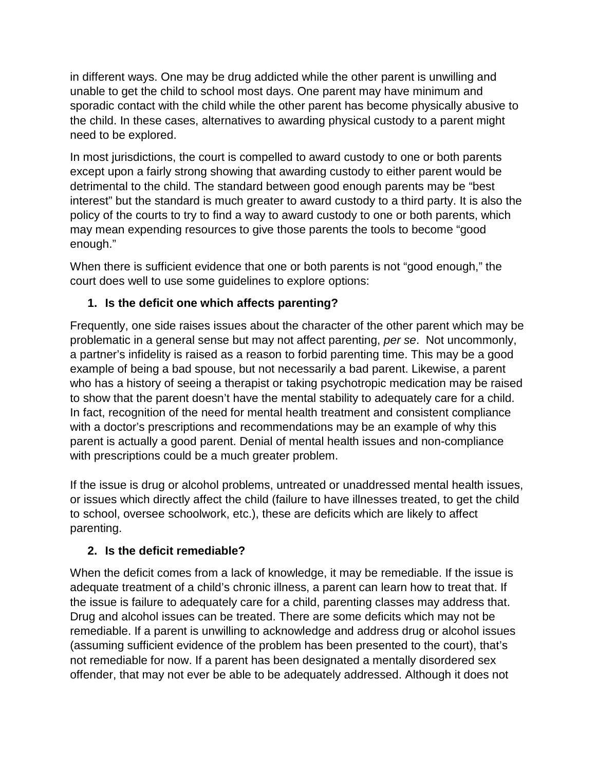in different ways. One may be drug addicted while the other parent is unwilling and unable to get the child to school most days. One parent may have minimum and sporadic contact with the child while the other parent has become physically abusive to the child. In these cases, alternatives to awarding physical custody to a parent might need to be explored.

In most jurisdictions, the court is compelled to award custody to one or both parents except upon a fairly strong showing that awarding custody to either parent would be detrimental to the child. The standard between good enough parents may be "best interest" but the standard is much greater to award custody to a third party. It is also the policy of the courts to try to find a way to award custody to one or both parents, which may mean expending resources to give those parents the tools to become "good enough."

When there is sufficient evidence that one or both parents is not "good enough," the court does well to use some guidelines to explore options:

### **1. Is the deficit one which affects parenting?**

Frequently, one side raises issues about the character of the other parent which may be problematic in a general sense but may not affect parenting, *per se*. Not uncommonly, a partner's infidelity is raised as a reason to forbid parenting time. This may be a good example of being a bad spouse, but not necessarily a bad parent. Likewise, a parent who has a history of seeing a therapist or taking psychotropic medication may be raised to show that the parent doesn't have the mental stability to adequately care for a child. In fact, recognition of the need for mental health treatment and consistent compliance with a doctor's prescriptions and recommendations may be an example of why this parent is actually a good parent. Denial of mental health issues and non-compliance with prescriptions could be a much greater problem.

If the issue is drug or alcohol problems, untreated or unaddressed mental health issues, or issues which directly affect the child (failure to have illnesses treated, to get the child to school, oversee schoolwork, etc.), these are deficits which are likely to affect parenting.

### **2. Is the deficit remediable?**

When the deficit comes from a lack of knowledge, it may be remediable. If the issue is adequate treatment of a child's chronic illness, a parent can learn how to treat that. If the issue is failure to adequately care for a child, parenting classes may address that. Drug and alcohol issues can be treated. There are some deficits which may not be remediable. If a parent is unwilling to acknowledge and address drug or alcohol issues (assuming sufficient evidence of the problem has been presented to the court), that's not remediable for now. If a parent has been designated a mentally disordered sex offender, that may not ever be able to be adequately addressed. Although it does not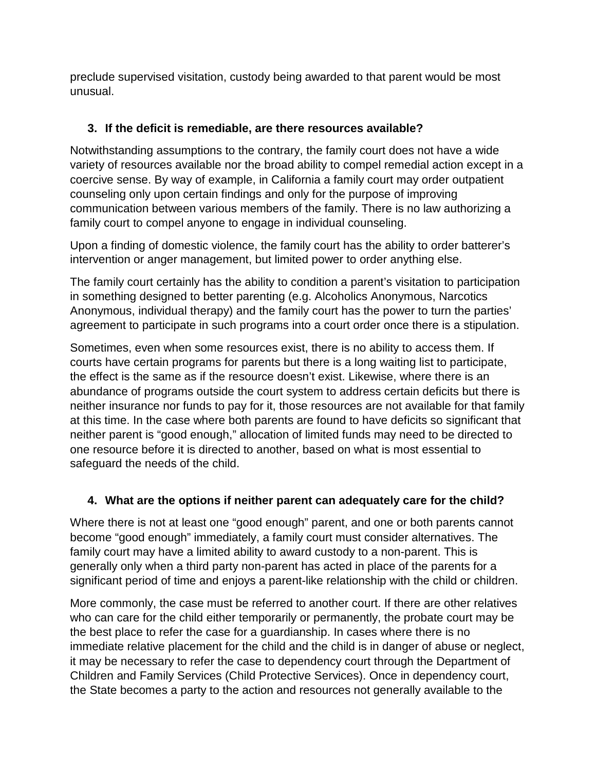preclude supervised visitation, custody being awarded to that parent would be most unusual.

### **3. If the deficit is remediable, are there resources available?**

Notwithstanding assumptions to the contrary, the family court does not have a wide variety of resources available nor the broad ability to compel remedial action except in a coercive sense. By way of example, in California a family court may order outpatient counseling only upon certain findings and only for the purpose of improving communication between various members of the family. There is no law authorizing a family court to compel anyone to engage in individual counseling.

Upon a finding of domestic violence, the family court has the ability to order batterer's intervention or anger management, but limited power to order anything else.

The family court certainly has the ability to condition a parent's visitation to participation in something designed to better parenting (e.g. Alcoholics Anonymous, Narcotics Anonymous, individual therapy) and the family court has the power to turn the parties' agreement to participate in such programs into a court order once there is a stipulation.

Sometimes, even when some resources exist, there is no ability to access them. If courts have certain programs for parents but there is a long waiting list to participate, the effect is the same as if the resource doesn't exist. Likewise, where there is an abundance of programs outside the court system to address certain deficits but there is neither insurance nor funds to pay for it, those resources are not available for that family at this time. In the case where both parents are found to have deficits so significant that neither parent is "good enough," allocation of limited funds may need to be directed to one resource before it is directed to another, based on what is most essential to safeguard the needs of the child.

### **4. What are the options if neither parent can adequately care for the child?**

Where there is not at least one "good enough" parent, and one or both parents cannot become "good enough" immediately, a family court must consider alternatives. The family court may have a limited ability to award custody to a non-parent. This is generally only when a third party non-parent has acted in place of the parents for a significant period of time and enjoys a parent-like relationship with the child or children.

More commonly, the case must be referred to another court. If there are other relatives who can care for the child either temporarily or permanently, the probate court may be the best place to refer the case for a guardianship. In cases where there is no immediate relative placement for the child and the child is in danger of abuse or neglect, it may be necessary to refer the case to dependency court through the Department of Children and Family Services (Child Protective Services). Once in dependency court, the State becomes a party to the action and resources not generally available to the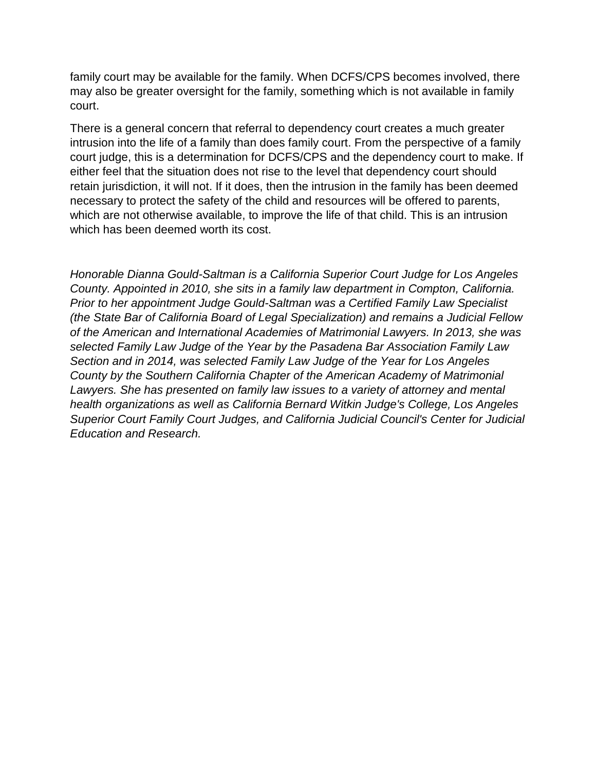family court may be available for the family. When DCFS/CPS becomes involved, there may also be greater oversight for the family, something which is not available in family court.

There is a general concern that referral to dependency court creates a much greater intrusion into the life of a family than does family court. From the perspective of a family court judge, this is a determination for DCFS/CPS and the dependency court to make. If either feel that the situation does not rise to the level that dependency court should retain jurisdiction, it will not. If it does, then the intrusion in the family has been deemed necessary to protect the safety of the child and resources will be offered to parents, which are not otherwise available, to improve the life of that child. This is an intrusion which has been deemed worth its cost.

*Honorable Dianna Gould-Saltman is a California Superior Court Judge for Los Angeles County. Appointed in 2010, she sits in a family law department in Compton, California. Prior to her appointment Judge Gould-Saltman was a Certified Family Law Specialist (the State Bar of California Board of Legal Specialization) and remains a Judicial Fellow of the American and International Academies of Matrimonial Lawyers. In 2013, she was selected Family Law Judge of the Year by the Pasadena Bar Association Family Law Section and in 2014, was selected Family Law Judge of the Year for Los Angeles County by the Southern California Chapter of the American Academy of Matrimonial Lawyers. She has presented on family law issues to a variety of attorney and mental health organizations as well as California Bernard Witkin Judge's College, Los Angeles Superior Court Family Court Judges, and California Judicial Council's Center for Judicial Education and Research.*